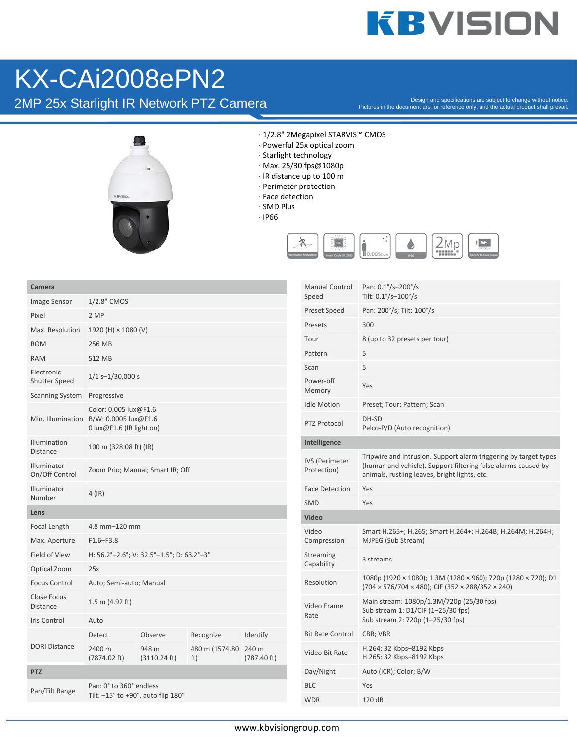## **KBVISION**

### KX-CAi2008ePN2

2MP 25x Starlight IR Network PTZ Camera

Pictures in the document are for reference only, and the actual product shall prevail.



- · 1/2.8" 2Megapixel STARVIS™ CMOS
- · Powerful 25x optical zoom
- · Starlight technology
- · Max. 25/30 fps@1080p
- · IR distance up to 100 m
- · Perimeter protection
- · Face detection
- · SMD Plus
- · IP66



| Camera                                           |                                                                      |                       |                             |             | <b>Manual Control</b>                | Pan: 0.1°/s-200°/s                                                                                                                                                                 |
|--------------------------------------------------|----------------------------------------------------------------------|-----------------------|-----------------------------|-------------|--------------------------------------|------------------------------------------------------------------------------------------------------------------------------------------------------------------------------------|
| Image Sensor                                     | 1/2.8" CMOS                                                          |                       |                             |             | Speed                                | Tilt: 0.1°/s-100°/s                                                                                                                                                                |
| Pixel                                            | 2 MP                                                                 |                       |                             |             | <b>Preset Speed</b>                  | Pan: 200°/s; Tilt: 100°/s                                                                                                                                                          |
| Max. Resolution                                  | 1920 (H) $\times$ 1080 (V)                                           |                       |                             |             | Presets                              | 300                                                                                                                                                                                |
| <b>ROM</b>                                       | 256 MB                                                               |                       |                             |             | Tour                                 | 8 (up to 32 presets per tour)                                                                                                                                                      |
| <b>RAM</b>                                       | 512 MB                                                               |                       |                             |             | Pattern                              | 5                                                                                                                                                                                  |
| Electronic<br>Shutter Speed                      | $1/1$ s-1/30,000 s                                                   |                       |                             |             | Scan<br>Power-off                    | 5                                                                                                                                                                                  |
| <b>Scanning System</b>                           | Progressive                                                          |                       |                             |             | Memory                               | Yes                                                                                                                                                                                |
|                                                  | Color: 0.005 lux@F1.6                                                |                       |                             |             | <b>Idle Motion</b>                   | Preset; Tour; Pattern; Scan                                                                                                                                                        |
|                                                  | Min. Illumination B/W: 0.0005 lux@F1.6<br>0 lux@F1.6 (IR light on)   |                       |                             |             | <b>PTZ Protocol</b>                  | DH-SD<br>Pelco-P/D (Auto recognition)                                                                                                                                              |
| Illumination                                     | 100 m (328.08 ft) (IR)                                               |                       |                             |             | Intelligence                         |                                                                                                                                                                                    |
| <b>Distance</b><br>Illuminator<br>On/Off Control | Zoom Prio; Manual; Smart IR; Off                                     |                       |                             |             | <b>IVS</b> (Perimeter<br>Protection) | Tripwire and intrusion. Support alarm triggering by target types<br>(human and vehicle). Support filtering false alarms caused by<br>animals, rustling leaves, bright lights, etc. |
| Illuminator<br>Number                            | $4$ (IR)                                                             |                       |                             |             | <b>Face Detection</b>                | Yes                                                                                                                                                                                |
|                                                  |                                                                      |                       |                             |             | SMD                                  | Yes                                                                                                                                                                                |
| Lens<br>Video                                    |                                                                      |                       |                             |             |                                      |                                                                                                                                                                                    |
| Focal Length<br>Max. Aperture                    | 4.8 mm-120 mm<br>$F1.6 - F3.8$                                       |                       |                             |             | Video<br>Compression                 | Smart H.265+; H.265; Smart H.264+; H.264B; H.264M; H.264H;<br>MJPEG (Sub Stream)                                                                                                   |
| Field of View                                    | H: 56.2°-2.6°; V: 32.5°-1.5°; D: 63.2°-3°                            |                       |                             |             | Streaming                            | 3 streams                                                                                                                                                                          |
| Optical Zoom                                     | 25x                                                                  |                       |                             |             | Capability                           |                                                                                                                                                                                    |
| <b>Focus Control</b>                             | Auto; Semi-auto; Manual                                              |                       |                             |             | Resolution                           | 1080p (1920 × 1080); 1.3M (1280 × 960); 720p (1280 × 720); D1<br>$(704 \times 576/704 \times 480)$ ; CIF $(352 \times 288/352 \times 240)$                                         |
| Close Focus<br><b>Distance</b>                   | 1.5 m $(4.92 \text{ ft})$                                            |                       |                             |             | Video Frame<br>Rate                  | Main stream: 1080p/1.3M/720p (25/30 fps)<br>Sub stream 1: D1/CIF (1-25/30 fps)                                                                                                     |
| <b>Iris Control</b>                              | Auto                                                                 |                       |                             |             |                                      | Sub stream 2: 720p (1-25/30 fps)                                                                                                                                                   |
|                                                  | Detect                                                               | Observe               | Recognize                   | Identify    | <b>Bit Rate Control</b>              | CBR; VBR                                                                                                                                                                           |
| <b>DORI Distance</b>                             | 2400 m<br>(7874.02 ft)                                               | 948 m<br>(3110.24 ft) | 480 m (1574.80 240 m<br>ft) | (787.40 ft) | Video Bit Rate                       | H.264: 32 Kbps-8192 Kbps<br>H.265: 32 Kbps-8192 Kbps                                                                                                                               |
| <b>PTZ</b>                                       |                                                                      |                       |                             | Day/Night   | Auto (ICR); Color; B/W               |                                                                                                                                                                                    |
| Pan/Tilt Range                                   | Pan: 0° to 360° endless<br>Tilt: $-15^\circ$ to +90°, auto flip 180° |                       |                             |             | <b>BLC</b>                           | Yes                                                                                                                                                                                |
|                                                  |                                                                      |                       |                             |             | <b>WDR</b>                           | 120 dB                                                                                                                                                                             |
|                                                  |                                                                      |                       |                             |             |                                      |                                                                                                                                                                                    |